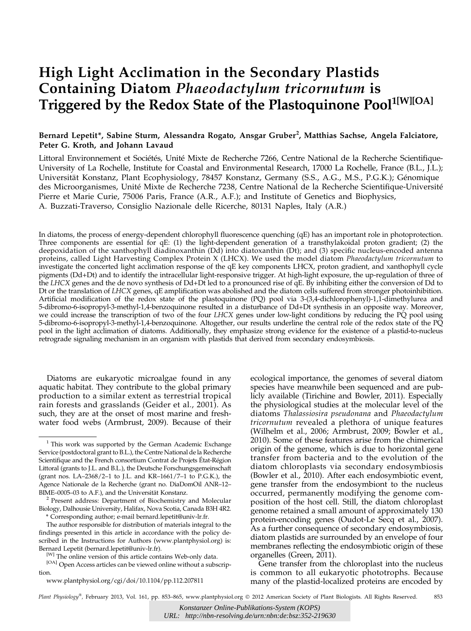# High Light Acclimation in the Secondary Plastids Containing Diatom Phaeodactylum tricornutum is Triggered by the Redox State of the Plastoquinone Pool<sup>1[W][OA]</sup>

# Bernard Lepetit\*, Sabine Sturm, Alessandra Rogato, Ansgar Gruber<sup>2</sup>, Matthias Sachse, Angela Falciatore, Peter G. Kroth, and Johann Lavaud

Littoral Environnement et Sociétés, Unité Mixte de Recherche 7266, Centre National de la Recherche Scientifique-University of La Rochelle, Institute for Coastal and Environmental Research, 17000 La Rochelle, France (B.L., J.L.); Universität Konstanz, Plant Ecophysiology, 78457 Konstanz, Germany (S.S., A.G., M.S., P.G.K.); Génomique des Microorganismes, Unité Mixte de Recherche 7238, Centre National de la Recherche Scientifique-Université Pierre et Marie Curie, 75006 Paris, France (A.R., A.F.); and Institute of Genetics and Biophysics, A. Buzzati-Traverso, Consiglio Nazionale delle Ricerche, 80131 Naples, Italy (A.R.)

In diatoms, the process of energy-dependent chlorophyll fluorescence quenching (qE) has an important role in photoprotection. Three components are essential for qE: (1) the light-dependent generation of a transthylakoidal proton gradient; (2) the deepoxidation of the xanthophyll diadinoxanthin (Dd) into diatoxanthin (Dt); and (3) specific nucleus-encoded antenna proteins, called Light Harvesting Complex Protein X (LHCX). We used the model diatom Phaeodactylum tricornutum to investigate the concerted light acclimation response of the qE key components LHCX, proton gradient, and xanthophyll cycle pigments (Dd+Dt) and to identify the intracellular light-responsive trigger. At high-light exposure, the up-regulation of three of the LHCX genes and the de novo synthesis of Dd+Dt led to a pronounced rise of qE. By inhibiting either the conversion of Dd to Dt or the translation of LHCX genes, qE amplification was abolished and the diatom cells suffered from stronger photoinhibition. Artificial modification of the redox state of the plastoquinone (PQ) pool via 3-(3,4-dichlorophenyl)-1,1-dimethylurea and 5-dibromo-6-isopropyl-3-methyl-1,4-benzoquinone resulted in a disturbance of Dd+Dt synthesis in an opposite way. Moreover, we could increase the transcription of two of the four LHCX genes under low-light conditions by reducing the PQ pool using 5-dibromo-6-isopropyl-3-methyl-1,4-benzoquinone. Altogether, our results underline the central role of the redox state of the PQ pool in the light acclimation of diatoms. Additionally, they emphasize strong evidence for the existence of a plastid-to-nucleus retrograde signaling mechanism in an organism with plastids that derived from secondary endosymbiosis.

Diatoms are eukaryotic microalgae found in any aquatic habitat. They contribute to the global primary production to a similar extent as terrestrial tropical rain forests and grasslands (Geider et al., 2001). As such, they are at the onset of most marine and freshwater food webs (Armbrust, 2009). Because of their

ecological importance, the genomes of several diatom species have meanwhile been sequenced and are publicly available (Tirichine and Bowler, 2011). Especially the physiological studies at the molecular level of the diatoms Thalassiosira pseudonana and Phaeodactylum tricornutum revealed a plethora of unique features (Wilhelm et al., 2006; Armbrust, 2009; Bowler et al., 2010). Some of these features arise from the chimerical origin of the genome, which is due to horizontal gene transfer from bacteria and to the evolution of the diatom chloroplasts via secondary endosymbiosis (Bowler et al., 2010). After each endosymbiotic event, gene transfer from the endosymbiont to the nucleus occurred, permanently modifying the genome composition of the host cell. Still, the diatom chloroplast genome retained a small amount of approximately 130 protein-encoding genes (Oudot-Le Secq et al., 2007). As a further consequence of secondary endosymbiosis, diatom plastids are surrounded by an envelope of four membranes reflecting the endosymbiotic origin of these organelles (Green, 2011).

Gene transfer from the chloroplast into the nucleus is common to all eukaryotic phototrophs. Because many of the plastid-localized proteins are encoded by

Plant Physiology®, February 2013, Vol. 161, pp. 853-865, www.plantphysiol.org © 2012 American Society of Plant Biologists. All Rights Reserved. 853

 $1$  This work was supported by the German Academic Exchange Service (postdoctoral grant to B.L.), the Centre National de la Recherche Scientifique and the French consortium Contrat de Projets État-Région Littoral (grants to J.L. and B.L.), the Deutsche Forschungsgemeinschaft (grant nos. LA–2368/2–1 to J.L. and KR–1661/7–1 to P.G.K.), the Agence Nationale de la Recherche (grant no. DiaDomOil ANR–12–BIME–0005–03 to A.F.), and the Universität Konstanz.

<sup>&</sup>lt;sup>2</sup> Present address: Department of Biochemistry and Molecular Biology, Dalhousie University, Halifax, Nova Scotia, Canada B3H 4R2. \* Corresponding author; e-mail [bernard.lepetit@univ-lr.fr](mailto:bernard.lepetit@univ-lr.fr).

The author responsible for distribution of materials integral to the findings presented in this article in accordance with the policy described in the Instructions for Authors ([www.plantphysiol.org\)](http://www.plantphysiol.org) is:

Bernard Lepetit ([bernard.lepetit@univ-lr.fr](mailto:bernard.lepetit@univ-lr.fr)). <sup>[W]</sup> The online version of this article contains Web-only data.

<sup>[</sup>OA] Open Access articles can be viewed online without a subscription.

[www.plantphysiol.org/cgi/doi/10.1104/pp.112.207811](http://www.plantphysiol.org/cgi/doi/10.1104/pp.112.207811)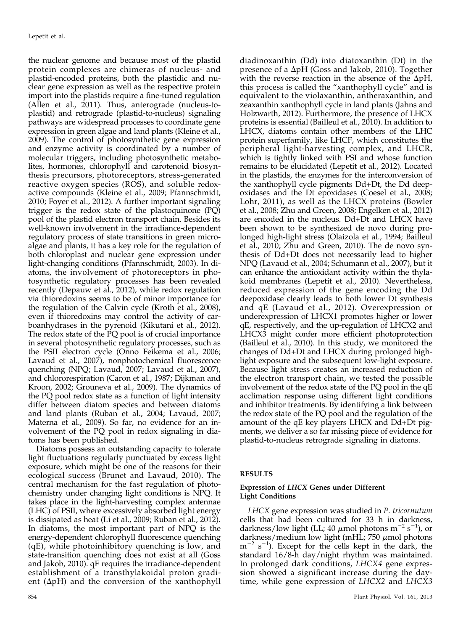the nuclear genome and because most of the plastid protein complexes are chimeras of nucleus- and plastid-encoded proteins, both the plastidic and nuclear gene expression as well as the respective protein import into the plastids require a fine-tuned regulation (Allen et al., 2011). Thus, anterograde (nucleus-toplastid) and retrograde (plastid-to-nucleus) signaling pathways are widespread processes to coordinate gene expression in green algae and land plants (Kleine et al., 2009). The control of photosynthetic gene expression and enzyme activity is coordinated by a number of molecular triggers, including photosynthetic metabolites, hormones, chlorophyll and carotenoid biosynthesis precursors, photoreceptors, stress-generated reactive oxygen species (ROS), and soluble redoxactive compounds (Kleine et al., 2009; Pfannschmidt, 2010; Foyer et al., 2012). A further important signaling trigger is the redox state of the plastoquinone (PQ) pool of the plastid electron transport chain. Besides its well-known involvement in the irradiance-dependent regulatory process of state transitions in green microalgae and plants, it has a key role for the regulation of both chloroplast and nuclear gene expression under light-changing conditions (Pfannschmidt, 2003). In diatoms, the involvement of photoreceptors in photosynthetic regulatory processes has been revealed recently (Depauw et al., 2012), while redox regulation via thioredoxins seems to be of minor importance for the regulation of the Calvin cycle (Kroth et al., 2008), even if thioredoxins may control the activity of carboanhydrases in the pyrenoid (Kikutani et al., 2012). The redox state of the PQ pool is of crucial importance in several photosynthetic regulatory processes, such as the PSII electron cycle (Onno Feikema et al., 2006; Lavaud et al., 2007), nonphotochemical fluorescence quenching (NPQ; Lavaud, 2007; Lavaud et al., 2007), and chlororespiration (Caron et al., 1987; Dijkman and Kroon, 2002; Grouneva et al., 2009). The dynamics of the PQ pool redox state as a function of light intensity differ between diatom species and between diatoms and land plants (Ruban et al., 2004; Lavaud, 2007; Materna et al., 2009). So far, no evidence for an involvement of the PQ pool in redox signaling in diatoms has been published.

Diatoms possess an outstanding capacity to tolerate light fluctuations regularly punctuated by excess light exposure, which might be one of the reasons for their ecological success (Brunet and Lavaud, 2010). The central mechanism for the fast regulation of photochemistry under changing light conditions is NPQ. It takes place in the light-harvesting complex antennae (LHC) of PSII, where excessively absorbed light energy is dissipated as heat (Li et al., 2009; Ruban et al., 2012). In diatoms, the most important part of NPQ is the energy-dependent chlorophyll fluorescence quenching (qE), while photoinhibitory quenching is low, and state-transition quenching does not exist at all (Goss and Jakob, 2010). qE requires the irradiance-dependent establishment of a transthylakoidal proton gradient ( $\Delta$ pH) and the conversion of the xanthophyll

diadinoxanthin (Dd) into diatoxanthin (Dt) in the presence of a  $\Delta pH$  (Goss and Jakob, 2010). Together with the reverse reaction in the absence of the  $\Delta pH$ , this process is called the "xanthophyll cycle" and is equivalent to the violaxanthin, antheraxanthin, and zeaxanthin xanthophyll cycle in land plants (Jahns and Holzwarth, 2012). Furthermore, the presence of LHCX proteins is essential (Bailleul et al., 2010). In addition to LHCX, diatoms contain other members of the LHC protein superfamily, like LHCF, which constitutes the peripheral light-harvesting complex, and LHCR, which is tightly linked with PSI and whose function remains to be elucidated (Lepetit et al., 2012). Located in the plastids, the enzymes for the interconversion of the xanthophyll cycle pigments Dd+Dt, the Dd deepoxidases and the Dt epoxidases (Coesel et al., 2008; Lohr, 2011), as well as the LHCX proteins (Bowler et al., 2008; Zhu and Green, 2008; Engelken et al., 2012) are encoded in the nucleus. Dd+Dt and LHCX have been shown to be synthesized de novo during prolonged high-light stress (Olaizola et al., 1994; Bailleul et al., 2010; Zhu and Green, 2010). The de novo synthesis of Dd+Dt does not necessarily lead to higher NPQ (Lavaud et al., 2004; Schumann et al., 2007), but it can enhance the antioxidant activity within the thylakoid membranes (Lepetit et al., 2010). Nevertheless, reduced expression of the gene encoding the Dd deepoxidase clearly leads to both lower Dt synthesis and qE (Lavaud et al., 2012). Overexpression or underexpression of LHCX1 promotes higher or lower qE, respectively, and the up-regulation of LHCX2 and LHCX3 might confer more efficient photoprotection (Bailleul et al., 2010). In this study, we monitored the changes of Dd+Dt and LHCX during prolonged highlight exposure and the subsequent low-light exposure. Because light stress creates an increased reduction of the electron transport chain, we tested the possible involvement of the redox state of the PQ pool in the qE acclimation response using different light conditions and inhibitor treatments. By identifying a link between the redox state of the PQ pool and the regulation of the amount of the qE key players LHCX and Dd+Dt pigments, we deliver a so far missing piece of evidence for plastid-to-nucleus retrograde signaling in diatoms.

# RESULTS

## Expression of LHCX Genes under Different Light Conditions

LHCX gene expression was studied in P. tricornutum cells that had been cultured for 33 h in darkness, darkness/low light (LL; 40  $\mu$ mol photons m<sup>-2</sup> s<sup>-1</sup>), or darkness/medium low light (mHL;  $750 \mu$ mol photons  $m^{-2}$  s<sup>-1</sup>). Except for the cells kept in the dark, the standard 16/8-h day/night rhythm was maintained. In prolonged dark conditions, LHCX4 gene expression showed a significant increase during the daytime, while gene expression of LHCX2 and LHCX3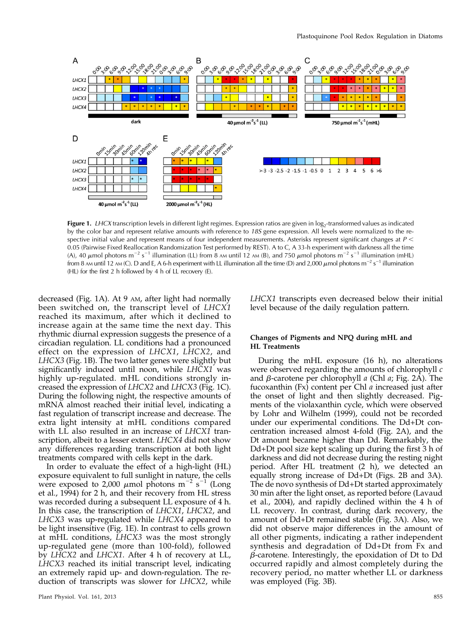

Figure 1. LHCX transcription levels in different light regimes. Expression ratios are given in log<sub>2</sub>-transformed values as indicated by the color bar and represent relative amounts with reference to 18S gene expression. All levels were normalized to the respective initial value and represent means of four independent measurements. Asterisks represent significant changes at  $P \leq$ 0.05 (Pairwise Fixed Reallocation Randomization Test performed by REST). A to C, A 33-h experiment with darkness all the time (A), 40  $\mu$ mol photons m<sup>-2</sup> s<sup>-1</sup> illumination (LL) from 8 AM until 12 AM (B), and 750  $\mu$ mol photons m<sup>-2</sup> s<sup>-1</sup> illumination (mHL) from 8 am until 12 am (C). D and E, A 6-h experiment with LL illumination all the time (D) and 2,000  $\mu$ mol photons m $^{-2}$  s $^{-1}$  illumination (HL) for the first 2 h followed by 4 h of LL recovery (E).

decreased (Fig. 1A). At 9 AM, after light had normally been switched on, the transcript level of LHCX1 reached its maximum, after which it declined to increase again at the same time the next day. This rhythmic diurnal expression suggests the presence of a circadian regulation. LL conditions had a pronounced effect on the expression of LHCX1, LHCX2, and LHCX3 (Fig. 1B). The two latter genes were slightly but significantly induced until noon, while LHCX1 was highly up-regulated. mHL conditions strongly increased the expression of LHCX2 and LHCX3 (Fig. 1C). During the following night, the respective amounts of mRNA almost reached their initial level, indicating a fast regulation of transcript increase and decrease. The extra light intensity at mHL conditions compared with LL also resulted in an increase of LHCX1 transcription, albeit to a lesser extent. LHCX4 did not show any differences regarding transcription at both light treatments compared with cells kept in the dark.

In order to evaluate the effect of a high-light (HL) exposure equivalent to full sunlight in nature, the cells were exposed to 2,000  $\mu$ mol photons m<sup>-2</sup> s<sup>-1</sup> (Long et al., 1994) for 2 h, and their recovery from HL stress was recorded during a subsequent LL exposure of 4 h. In this case, the transcription of LHCX1, LHCX2, and LHCX3 was up-regulated while LHCX4 appeared to be light insensitive (Fig. 1E). In contrast to cells grown at mHL conditions, LHCX3 was the most strongly up-regulated gene (more than 100-fold), followed by LHCX2 and LHCX1. After 4 h of recovery at LL, LHCX3 reached its initial transcript level, indicating an extremely rapid up- and down-regulation. The reduction of transcripts was slower for LHCX2, while LHCX1 transcripts even decreased below their initial level because of the daily regulation pattern.

# Changes of Pigments and NPQ during mHL and HL Treatments

During the mHL exposure (16 h), no alterations were observed regarding the amounts of chlorophyll  $c$ and  $\beta$ -carotene per chlorophyll a (Chl a; Fig. 2A). The fucoxanthin  $(Fx)$  content per Chl  $a$  increased just after the onset of light and then slightly decreased. Pigments of the violaxanthin cycle, which were observed by Lohr and Wilhelm (1999), could not be recorded under our experimental conditions. The Dd+Dt concentration increased almost 4-fold (Fig. 2A), and the Dt amount became higher than Dd. Remarkably, the Dd+Dt pool size kept scaling up during the first 3 h of darkness and did not decrease during the resting night period. After HL treatment (2 h), we detected an equally strong increase of Dd+Dt (Figs. 2B and 3A). The de novo synthesis of Dd+Dt started approximately 30 min after the light onset, as reported before (Lavaud et al., 2004), and rapidly declined within the 4 h of LL recovery. In contrast, during dark recovery, the amount of Dd+Dt remained stable (Fig. 3A). Also, we did not observe major differences in the amount of all other pigments, indicating a rather independent synthesis and degradation of Dd+Dt from Fx and  $\beta$ -carotene. Interestingly, the epoxidation of Dt to Dd occurred rapidly and almost completely during the recovery period, no matter whether LL or darkness was employed (Fig. 3B).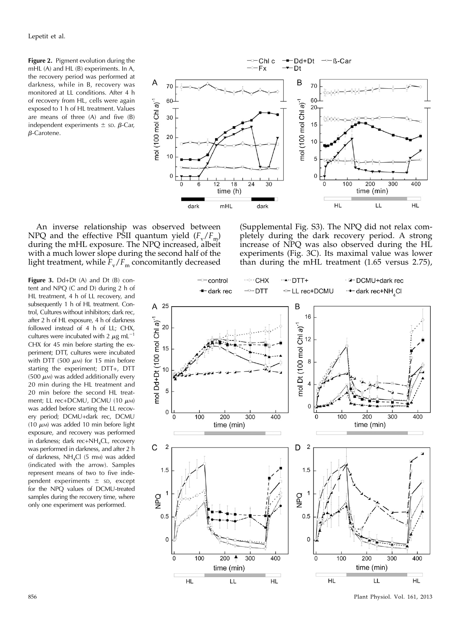Figure 2. Pigment evolution during the mHL (A) and HL (B) experiments. In A, the recovery period was performed at darkness, while in B, recovery was monitored at LL conditions. After 4 h of recovery from HL, cells were again exposed to 1 h of HL treatment. Values are means of three (A) and five (B) independent experiments  $\pm$  sp.  $\beta$ -Car,  $\beta$ -Carotene.



An inverse relationship was observed between NPQ and the effective PSII quantum yield  $(F_v/F_m)$ during the mHL exposure. The NPQ increased, albeit with a much lower slope during the second half of the light treatment, while  $\overline{F_v}/F_m$  concomitantly decreased

[\(Supplemental Fig. S3](http://www.plantphysiol.org/cgi/content/full/pp.112.207811/DC1)). The NPQ did not relax completely during the dark recovery period. A strong increase of NPQ was also observed during the HL experiments (Fig. 3C). Its maximal value was lower than during the mHL treatment (1.65 versus 2.75),

Figure 3. Dd+Dt (A) and Dt (B) content and NPQ (C and D) during 2 h of HL treatment, 4 h of LL recovery, and subsequently 1 h of HL treatment. Control, Cultures without inhibitors; dark rec, after 2 h of HL exposure, 4 h of darkness followed instead of 4 h of LL; CHX, cultures were incubated with 2  $\mu$ g mL<sup>-1</sup> CHX for 45 min before starting the experiment; DTT, cultures were incubated with DTT (500  $\mu$ M) for 15 min before starting the experiment; DTT+, DTT (500  $\mu$ M) was added additionally every 20 min during the HL treatment and 20 min before the second HL treatment; LL rec+DCMU, DCMU (10  $\mu$ M) was added before starting the LL recovery period; DCMU+dark rec, DCMU (10  $\mu$ M) was added 10 min before light exposure, and recovery was performed in darkness; dark rec+NH<sub>4</sub>CL, recovery was performed in darkness, and after 2 h of darkness,  $NH_4Cl$  (5 mm) was added (indicated with the arrow). Samples represent means of two to five independent experiments  $\pm$  sp, except for the NPQ values of DCMU-treated samples during the recovery time, where only one experiment was performed.



856 Plant Physiol. Vol. 161, 2013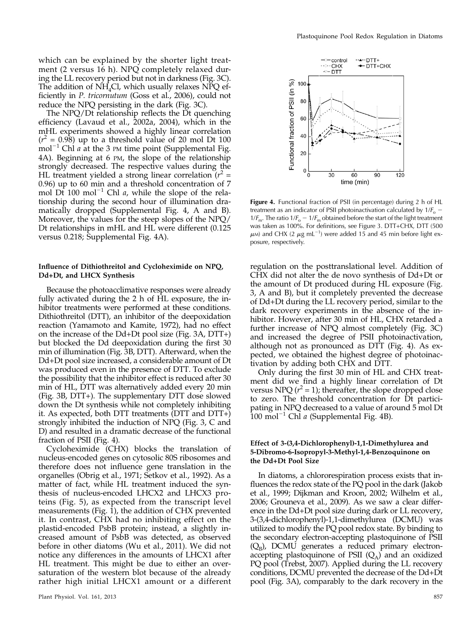which can be explained by the shorter light treatment (2 versus 16 h). NPQ completely relaxed during the LL recovery period but not in darkness (Fig. 3C). The addition of  $NH_4Cl$ , which usually relaxes  $NPO$  efficiently in P. tricornutum (Goss et al., 2006), could not reduce the NPQ persisting in the dark (Fig. 3C).

The NPQ/Dt relationship reflects the Dt quenching efficiency (Lavaud et al., 2002a, 2004), which in the mHL experiments showed a highly linear correlation  $(r^2 = 0.98)$  up to a threshold value of 20 mol Dt 100 mol<sup>-1</sup> Chl *a* at the 3 PM time point ([Supplemental Fig.](http://www.plantphysiol.org/cgi/content/full/pp.112.207811/DC1) [4A](http://www.plantphysiol.org/cgi/content/full/pp.112.207811/DC1)). Beginning at 6 PM, the slope of the relationship strongly decreased. The respective values during the HL treatment yielded a strong linear correlation  $(r^2 =$ 0.96) up to 60 min and a threshold concentration of 7 mol  $D_t$  100 mol<sup>-1</sup> Chl *a*, while the slope of the relationship during the second hour of illumination dramatically dropped ([Supplemental Fig. 4, A and B](http://www.plantphysiol.org/cgi/content/full/pp.112.207811/DC1)). Moreover, the values for the steep slopes of the NPQ/ Dt relationships in mHL and HL were different (0.125 versus 0.218; [Supplemental Fig. 4A\)](http://www.plantphysiol.org/cgi/content/full/pp.112.207811/DC1).

## Influence of Dithiothreitol and Cycloheximide on NPQ, Dd+Dt, and LHCX Synthesis

Because the photoacclimative responses were already fully activated during the 2 h of HL exposure, the inhibitor treatments were performed at these conditions. Dithiothreitol (DTT), an inhibitor of the deepoxidation reaction (Yamamoto and Kamite, 1972), had no effect on the increase of the Dd+Dt pool size (Fig. 3A, DTT+) but blocked the Dd deepoxidation during the first 30 min of illumination (Fig. 3B, DTT). Afterward, when the Dd+Dt pool size increased, a considerable amount of Dt was produced even in the presence of DTT. To exclude the possibility that the inhibitor effect is reduced after 30 min of HL, DTT was alternatively added every 20 min (Fig. 3B, DTT+). The supplementary DTT dose slowed down the Dt synthesis while not completely inhibiting it. As expected, both DTT treatments (DTT and DTT+) strongly inhibited the induction of NPQ (Fig. 3, C and D) and resulted in a dramatic decrease of the functional fraction of PSII (Fig. 4).

Cycloheximide (CHX) blocks the translation of nucleus-encoded genes on cytosolic 80S ribosomes and therefore does not influence gene translation in the organelles (Obrig et al., 1971; Setkov et al., 1992). As a matter of fact, while HL treatment induced the synthesis of nucleus-encoded LHCX2 and LHCX3 proteins (Fig. 5), as expected from the transcript level measurements (Fig. 1), the addition of CHX prevented it. In contrast, CHX had no inhibiting effect on the plastid-encoded PsbB protein; instead, a slightly increased amount of PsbB was detected, as observed before in other diatoms (Wu et al., 2011). We did not notice any differences in the amounts of LHCX1 after HL treatment. This might be due to either an oversaturation of the western blot because of the already rather high initial LHCX1 amount or a different



Figure 4. Functional fraction of PSII (in percentage) during 2 h of HL treatment as an indicator of PSII photoinactivation calculated by  $1/F_0$  –  $1/F_{\text{m}}$ . The ratio  $1/F_{\text{o}} - 1/F_{\text{m}}$  obtained before the start of the light treatment was taken as 100%. For definitions, see Figure 3. DTT+CHX, DTT (500  $\mu$ M) and CHX (2  $\mu$ g mL<sup>-1</sup>) were added 15 and 45 min before light exposure, respectively.

regulation on the posttranslational level. Addition of CHX did not alter the de novo synthesis of Dd+Dt or the amount of Dt produced during HL exposure (Fig. 3, A and B), but it completely prevented the decrease of Dd+Dt during the LL recovery period, similar to the dark recovery experiments in the absence of the inhibitor. However, after 30 min of HL, CHX retarded a further increase of NPQ almost completely (Fig. 3C) and increased the degree of PSII photoinactivation, although not as pronounced as DTT (Fig. 4). As expected, we obtained the highest degree of photoinactivation by adding both CHX and DTT.

Only during the first 30 min of HL and CHX treatment did we find a highly linear correlation of Dt versus NPQ ( $r^2$  = 1); thereafter, the slope dropped close to zero. The threshold concentration for Dt participating in NPQ decreased to a value of around 5 mol Dt  $100 \text{ mol}^{-1}$  Chl *a* [\(Supplemental Fig. 4B\)](http://www.plantphysiol.org/cgi/content/full/pp.112.207811/DC1).

## Effect of 3-(3,4-Dichlorophenyl)-1,1-Dimethylurea and 5-Dibromo-6-Isopropyl-3-Methyl-1,4-Benzoquinone on the Dd+Dt Pool Size

In diatoms, a chlororespiration process exists that influences the redox state of the PQ pool in the dark (Jakob et al., 1999; Dijkman and Kroon, 2002; Wilhelm et al., 2006; Grouneva et al., 2009). As we saw a clear difference in the Dd+Dt pool size during dark or LL recovery, 3-(3,4-dichlorophenyl)-1,1-dimethylurea (DCMU) was utilized to modify the PQ pool redox state. By binding to the secondary electron-accepting plastoquinone of PSII  $(Q_B)$ , DCMU generates a reduced primary electronaccepting plastoquinone of PSII  $(Q_A)$  and an oxidized PQ pool (Trebst, 2007). Applied during the LL recovery conditions, DCMU prevented the decrease of the Dd+Dt pool (Fig. 3A), comparably to the dark recovery in the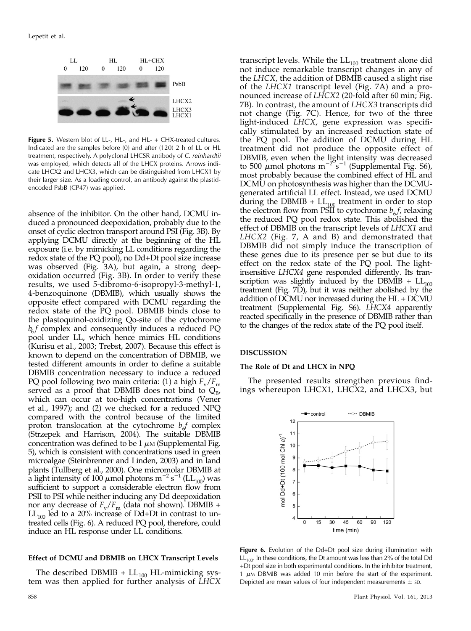## Lepetit et al.



Figure 5. Western blot of LL-, HL-, and HL- + CHX-treated cultures. Indicated are the samples before (0) and after (120) 2 h of LL or HL treatment, respectively. A polyclonal LHCSR antibody of C. reinhardtii was employed, which detects all of the LHCX proteins. Arrows indicate LHCX2 and LHCX3, which can be distinguished from LHCX1 by their larger size. As a loading control, an antibody against the plastidencoded PsbB (CP47) was applied.

absence of the inhibitor. On the other hand, DCMU induced a pronounced deepoxidation, probably due to the onset of cyclic electron transport around PSI (Fig. 3B). By applying DCMU directly at the beginning of the HL exposure (i.e. by mimicking LL conditions regarding the redox state of the PQ pool), no Dd+Dt pool size increase was observed (Fig. 3A), but again, a strong deepoxidation occurred (Fig. 3B). In order to verify these results, we used 5-dibromo-6-isopropyl-3-methyl-1, 4-benzoquinone (DBMIB), which usually shows the opposite effect compared with DCMU regarding the redox state of the PQ pool. DBMIB binds close to the plastoquinol-oxidizing Qo-site of the cytochrome  $b_{6}$  f complex and consequently induces a reduced PQ pool under LL, which hence mimics HL conditions (Kurisu et al., 2003; Trebst, 2007). Because this effect is known to depend on the concentration of DBMIB, we tested different amounts in order to define a suitable DBMIB concentration necessary to induce a reduced PQ pool following two main criteria: (1) a high  $F_v/F_m$ served as a proof that DBMIB does not bind to  $Q_{B}$ , which can occur at too-high concentrations (Vener et al., 1997); and (2) we checked for a reduced NPQ compared with the control because of the limited proton translocation at the cytochrome  $b_{\beta}f$  complex (Strzepek and Harrison, 2004). The suitable DBMIB concentration was defined to be 1  $\mu$ M [\(Supplemental Fig.](http://www.plantphysiol.org/cgi/content/full/pp.112.207811/DC1) [5\)](http://www.plantphysiol.org/cgi/content/full/pp.112.207811/DC1), which is consistent with concentrations used in green microalgae (Steinbrenner and Linden, 2003) and in land plants (Tullberg et al., 2000). One micromolar DBMIB at a light intensity of 100  $\mu$ mol photons m<sup>-2</sup> s<sup>-1</sup> (LL<sub>100</sub>) was sufficient to support a considerable electron flow from PSII to PSI while neither inducing any Dd deepoxidation nor any decrease of  $F_v/F_m$  (data not shown). DBMIB +  $LL_{100}$  led to a 20% increase of Dd+Dt in contrast to untreated cells (Fig. 6). A reduced PQ pool, therefore, could induce an HL response under LL conditions.

# Effect of DCMU and DBMIB on LHCX Transcript Levels

The described DBMIB +  $LL_{100}$  HL-mimicking system was then applied for further analysis of LHCX

7B). In contrast, the amount of LHCX3 transcripts did not change (Fig. 7C). Hence, for two of the three light-induced LHCX, gene expression was specifically stimulated by an increased reduction state of the PQ pool. The addition of DCMU during HL treatment did not produce the opposite effect of DBMIB, even when the light intensity was decreased to 500  $\mu$ mol photons m<sup>-2</sup>s<sup>-1</sup> ([Supplemental Fig. S6](http://www.plantphysiol.org/cgi/content/full/pp.112.207811/DC1)), most probably because the combined effect of HL and DCMU on photosynthesis was higher than the DCMUgenerated artificial LL effect. Instead, we used DCMU during the DBMIB +  $LL_{100}$  treatment in order to stop the electron flow from PSII to cytochrome  $b_6 f$ , relaxing the reduced PQ pool redox state. This abolished the effect of DBMIB on the transcript levels of LHCX1 and LHCX2 (Fig. 7, A and B) and demonstrated that DBMIB did not simply induce the transcription of these genes due to its presence per se but due to its effect on the redox state of the PQ pool. The lightinsensitive LHCX4 gene responded differently. Its transcription was slightly induced by the DBMIB +  $LL_{100}$ treatment (Fig. 7D), but it was neither abolished by the addition of DCMU nor increased during the HL + DCMU treatment [\(Supplemental Fig. S6\)](http://www.plantphysiol.org/cgi/content/full/pp.112.207811/DC1). LHCX4 apparently reacted specifically in the presence of DBMIB rather than to the changes of the redox state of the PQ pool itself. DISCUSSION The Role of Dt and LHCX in NPQ The presented results strengthen previous findings whereupon LHCX1, LHCX2, and LHCX3, but

transcript levels. While the  $LL_{100}$  treatment alone did not induce remarkable transcript changes in any of the LHCX, the addition of DBMIB caused a slight rise of the LHCX1 transcript level (Fig. 7A) and a pronounced increase of LHCX2 (20-fold after 60 min; Fig.



Figure 6. Evolution of the Dd+Dt pool size during illumination with  $LL_{100}$ . In these conditions, the Dt amount was less than 2% of the total Dd +Dt pool size in both experimental conditions. In the inhibitor treatment, 1  $\mu$ M DBMIB was added 10 min before the start of the experiment. Depicted are mean values of four independent measurements  $\pm$  sp.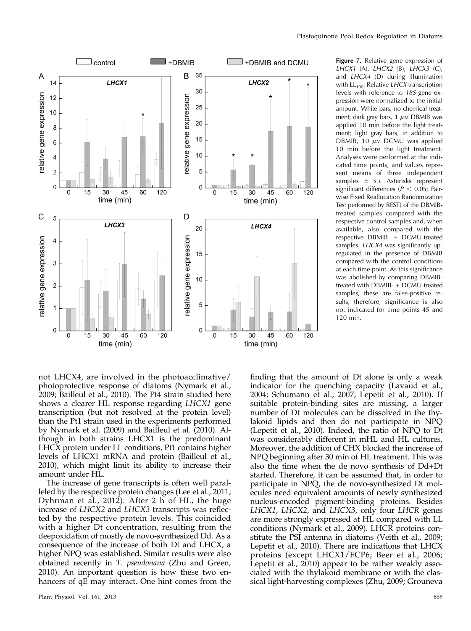Figure 7. Relative gene expression of



LHCX1 (A), LHCX2 (B), LHCX3 (C), and LHCX4 (D) during illumination with LL<sub>100</sub>. Relative *LHCX* transcription levels with reference to 18S gene expression were normalized to the initial amount. White bars, no chemical treatment; dark gray bars,  $1 \mu M$  DBMIB was applied 10 min before the light treatment; light gray bars, in addition to DBMIB, 10  $\mu$ M DCMU was applied 10 min before the light treatment. Analyses were performed at the indicated time points, and values represent means of three independent samples  $\pm$  sp. Asterisks represent significant differences ( $P < 0.05$ ; Pairwise Fixed Reallocation Randomization Test performed by REST) of the DBMIBtreated samples compared with the respective control samples and, when available, also compared with the respective DBMIB- + DCMU-treated samples. LHCX4 was significantly upregulated in the presence of DBMIB compared with the control conditions at each time point. As this significance was abolished by comparing DBMIBtreated with DBMIB- + DCMU-treated samples, these are false-positive results; therefore, significance is also not indicated for time points 45 and 120 min.

not LHCX4, are involved in the photoacclimative/ photoprotective response of diatoms (Nymark et al., 2009; Bailleul et al., 2010). The Pt4 strain studied here shows a clearer HL response regarding LHCX1 gene transcription (but not resolved at the protein level) than the Pt1 strain used in the experiments performed by Nymark et al. (2009) and Bailleul et al. (2010). Although in both strains LHCX1 is the predominant LHCX protein under LL conditions, Pt1 contains higher levels of LHCX1 mRNA and protein (Bailleul et al., 2010), which might limit its ability to increase their amount under HL.

The increase of gene transcripts is often well paralleled by the respective protein changes (Lee et al., 2011; Dyhrman et al., 2012). After 2 h of HL, the huge increase of LHCX2 and LHCX3 transcripts was reflected by the respective protein levels. This coincided with a higher Dt concentration, resulting from the deepoxidation of mostly de novo-synthesized Dd. As a consequence of the increase of both Dt and LHCX, a higher NPQ was established. Similar results were also obtained recently in T. pseudonana (Zhu and Green, 2010). An important question is how these two enhancers of qE may interact. One hint comes from the

finding that the amount of Dt alone is only a weak indicator for the quenching capacity (Lavaud et al., 2004; Schumann et al., 2007; Lepetit et al., 2010). If suitable protein-binding sites are missing, a larger number of Dt molecules can be dissolved in the thylakoid lipids and then do not participate in NPQ (Lepetit et al., 2010). Indeed, the ratio of NPQ to Dt was considerably different in mHL and HL cultures. Moreover, the addition of CHX blocked the increase of NPQ beginning after 30 min of HL treatment. This was also the time when the de novo synthesis of Dd+Dt started. Therefore, it can be assumed that, in order to participate in NPQ, the de novo-synthesized Dt molecules need equivalent amounts of newly synthesized nucleus-encoded pigment-binding proteins. Besides LHCX1, LHCX2, and LHCX3, only four LHCR genes are more strongly expressed at HL compared with LL conditions (Nymark et al., 2009). LHCR proteins constitute the PSI antenna in diatoms (Veith et al., 2009; Lepetit et al., 2010). There are indications that LHCX proteins (except LHCX1/FCP6; Beer et al., 2006; Lepetit et al., 2010) appear to be rather weakly associated with the thylakoid membrane or with the classical light-harvesting complexes (Zhu, 2009; Grouneva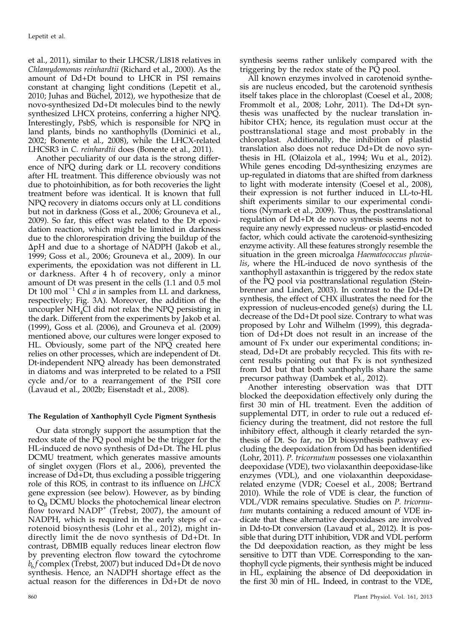et al., 2011), similar to their LHCSR/LI818 relatives in Chlamydomonas reinhardtii (Richard et al., 2000). As the amount of Dd+Dt bound to LHCR in PSI remains constant at changing light conditions (Lepetit et al., 2010; Juhas and Büchel, 2012), we hypothesize that de novo-synthesized Dd+Dt molecules bind to the newly synthesized LHCX proteins, conferring a higher NPQ. Interestingly, PsbS, which is responsible for NPQ in land plants, binds no xanthophylls (Dominici et al., 2002; Bonente et al., 2008), while the LHCX-related LHCSR3 in C. reinhardtii does (Bonente et al., 2011).

Another peculiarity of our data is the strong difference of NPQ during dark or LL recovery conditions after HL treatment. This difference obviously was not due to photoinhibition, as for both recoveries the light treatment before was identical. It is known that full NPQ recovery in diatoms occurs only at LL conditions but not in darkness (Goss et al., 2006; Grouneva et al., 2009). So far, this effect was related to the Dt epoxidation reaction, which might be limited in darkness due to the chlororespiration driving the buildup of the  $\Delta$ pH and due to a shortage of NADPH (Jakob et al., 1999; Goss et al., 2006; Grouneva et al., 2009). In our experiments, the epoxidation was not different in LL or darkness. After 4 h of recovery, only a minor amount of Dt was present in the cells (1.1 and 0.5 mol Dt 100 mol<sup>-1</sup> Chl  $\tilde{a}$  in samples from LL and darkness, respectively; Fig. 3A). Moreover, the addition of the uncoupler  $NH<sub>4</sub>Cl$  did not relax the NPQ persisting in the dark. Different from the experiments by Jakob et al. (1999), Goss et al. (2006), and Grouneva et al. (2009) mentioned above, our cultures were longer exposed to HL. Obviously, some part of the NPQ created here relies on other processes, which are independent of Dt. Dt-independent NPQ already has been demonstrated in diatoms and was interpreted to be related to a PSII cycle and/or to a rearrangement of the PSII core (Lavaud et al., 2002b; Eisenstadt et al., 2008).

# The Regulation of Xanthophyll Cycle Pigment Synthesis

Our data strongly support the assumption that the redox state of the PQ pool might be the trigger for the HL-induced de novo synthesis of Dd+Dt. The HL plus DCMU treatment, which generates massive amounts of singlet oxygen (Flors et al., 2006), prevented the increase of Dd+Dt, thus excluding a possible triggering role of this ROS, in contrast to its influence on LHCX gene expression (see below). However, as by binding to  $Q_B$  DCMU blocks the photochemical linear electron flow toward  $NADP^+$  (Trebst, 2007), the amount of NADPH, which is required in the early steps of carotenoid biosynthesis (Lohr et al., 2012), might indirectly limit the de novo synthesis of Dd+Dt. In contrast, DBMIB equally reduces linear electron flow by preventing electron flow toward the cytochrome  $b_6 f$  complex (Trebst, 2007) but induced Dd+Dt de novo synthesis. Hence, an NADPH shortage effect as the actual reason for the differences in Dd+Dt de novo

synthesis seems rather unlikely compared with the triggering by the redox state of the PQ pool.

All known enzymes involved in carotenoid synthesis are nucleus encoded, but the carotenoid synthesis itself takes place in the chloroplast (Coesel et al., 2008; Frommolt et al., 2008; Lohr, 2011). The Dd+Dt synthesis was unaffected by the nuclear translation inhibitor CHX; hence, its regulation must occur at the posttranslational stage and most probably in the chloroplast. Additionally, the inhibition of plastid translation also does not reduce Dd+Dt de novo synthesis in HL (Olaizola et al., 1994; Wu et al., 2012). While genes encoding Dd-synthesizing enzymes are up-regulated in diatoms that are shifted from darkness to light with moderate intensity (Coesel et al., 2008), their expression is not further induced in LL-to-HL shift experiments similar to our experimental conditions (Nymark et al., 2009). Thus, the posttranslational regulation of Dd+Dt de novo synthesis seems not to require any newly expressed nucleus- or plastid-encoded factor, which could activate the carotenoid-synthesizing enzyme activity. All these features strongly resemble the situation in the green microalga Haematococcus pluvialis, where the HL-induced de novo synthesis of the xanthophyll astaxanthin is triggered by the redox state of the PQ pool via posttranslational regulation (Steinbrenner and Linden, 2003). In contrast to the Dd+Dt synthesis, the effect of CHX illustrates the need for the expression of nucleus-encoded gene(s) during the LL decrease of the Dd+Dt pool size. Contrary to what was proposed by Lohr and Wilhelm (1999), this degradation of Dd+Dt does not result in an increase of the amount of Fx under our experimental conditions; instead, Dd+Dt are probably recycled. This fits with recent results pointing out that Fx is not synthesized from Dd but that both xanthophylls share the same precursor pathway (Dambek et al., 2012).

Another interesting observation was that DTT blocked the deepoxidation effectively only during the first 30 min of HL treatment. Even the addition of supplemental DTT, in order to rule out a reduced efficiency during the treatment, did not restore the full inhibitory effect, although it clearly retarded the synthesis of Dt. So far, no Dt biosynthesis pathway excluding the deepoxidation from Dd has been identified (Lohr, 2011). P. tricornutum possesses one violaxanthin deepoxidase (VDE), two violaxanthin deepoxidase-like enzymes (VDL), and one violaxanthin deepoxidaserelated enzyme (VDR; Coesel et al., 2008; Bertrand 2010). While the role of VDE is clear, the function of VDL/VDR remains speculative. Studies on P. tricornutum mutants containing a reduced amount of VDE indicate that these alternative deepoxidases are involved in Dd-to-Dt conversion (Lavaud et al., 2012). It is possible that during DTT inhibition, VDR and VDL perform the Dd deepoxidation reaction, as they might be less sensitive to DTT than VDE. Corresponding to the xanthophyll cycle pigments, their synthesis might be induced in HL, explaining the absence of Dd deepoxidation in the first 30 min of HL. Indeed, in contrast to the VDE,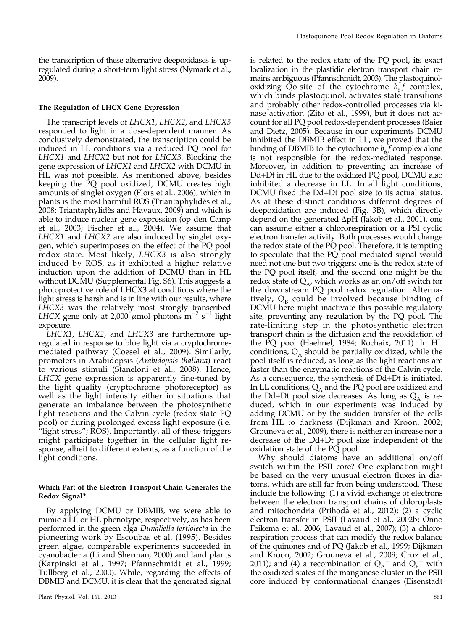the transcription of these alternative deepoxidases is upregulated during a short-term light stress (Nymark et al., 2009).

# The Regulation of LHCX Gene Expression

The transcript levels of LHCX1, LHCX2, and LHCX3 responded to light in a dose-dependent manner. As conclusively demonstrated, the transcription could be induced in LL conditions via a reduced PQ pool for LHCX1 and LHCX2 but not for LHCX3. Blocking the gene expression of LHCX1 and LHCX2 with DCMU in HL was not possible. As mentioned above, besides keeping the PQ pool oxidized, DCMU creates high amounts of singlet oxygen (Flors et al., 2006), which in plants is the most harmful ROS (Triantaphylidès et al., 2008; Triantaphylidès and Havaux, 2009) and which is able to induce nuclear gene expression (op den Camp et al., 2003; Fischer et al., 2004). We assume that LHCX1 and LHCX2 are also induced by singlet oxygen, which superimposes on the effect of the PQ pool redox state. Most likely, LHCX3 is also strongly induced by ROS, as it exhibited a higher relative induction upon the addition of DCMU than in HL without DCMU [\(Supplemental Fig. S6\)](http://www.plantphysiol.org/cgi/content/full/pp.112.207811/DC1). This suggests a photoprotective role of LHCX3 at conditions where the light stress is harsh and is in line with our results, where LHCX3 was the relatively most strongly transcribed LHCX gene only at 2,000  $\mu$ mol photons m<sup>-2</sup> s<sup>-1</sup> light exposure.

LHCX1, LHCX2, and LHCX3 are furthermore upregulated in response to blue light via a cryptochromemediated pathway (Coesel et al., 2009). Similarly, promoters in Arabidopsis (Arabidopsis thaliana) react to various stimuli (Staneloni et al., 2008). Hence, LHCX gene expression is apparently fine-tuned by the light quality (cryptochrome photoreceptor) as well as the light intensity either in situations that generate an imbalance between the photosynthetic light reactions and the Calvin cycle (redox state PQ pool) or during prolonged excess light exposure (i.e. "light stress"; ROS). Importantly, all of these triggers might participate together in the cellular light response, albeit to different extents, as a function of the light conditions.

## Which Part of the Electron Transport Chain Generates the Redox Signal?

By applying DCMU or DBMIB, we were able to mimic a LL or HL phenotype, respectively, as has been performed in the green alga Dunaliella tertiolecta in the pioneering work by Escoubas et al. (1995). Besides green algae, comparable experiments succeeded in cyanobacteria (Li and Sherman, 2000) and land plants (Karpinski et al., 1997; Pfannschmidt et al., 1999; Tullberg et al., 2000). While, regarding the effects of DBMIB and DCMU, it is clear that the generated signal

is related to the redox state of the PQ pool, its exact localization in the plastidic electron transport chain remains ambiguous (Pfannschmidt, 2003). The plastoquinoloxidizing Qo-site of the cytochrome  $b_{6}f$  complex, which binds plastoquinol, activates state transitions and probably other redox-controlled processes via kinase activation (Zito et al., 1999), but it does not account for all PQ pool redox-dependent processes (Baier and Dietz, 2005). Because in our experiments DCMU inhibited the DBMIB effect in LL, we proved that the binding of DBMIB to the cytochrome  $b_{6}f$  complex alone is not responsible for the redox-mediated response. Moreover, in addition to preventing an increase of Dd+Dt in HL due to the oxidized PQ pool, DCMU also inhibited a decrease in LL. In all light conditions, DCMU fixed the Dd+Dt pool size to its actual status. As at these distinct conditions different degrees of deepoxidation are induced (Fig. 3B), which directly depend on the generated  $\Delta pH$  (Jakob et al., 2001), one can assume either a chlororespiration or a PSI cyclic electron transfer activity. Both processes would change the redox state of the PQ pool. Therefore, it is tempting to speculate that the PQ pool-mediated signal would need not one but two triggers: one is the redox state of the PQ pool itself, and the second one might be the redox state of  $Q_{A}$ , which works as an on/off switch for the downstream PQ pool redox regulation. Alternatively,  $Q_B$  could be involved because binding of DCMU here might inactivate this possible regulatory site, preventing any regulation by the PQ pool. The rate-limiting step in the photosynthetic electron transport chain is the diffusion and the reoxidation of the PQ pool (Haehnel, 1984; Rochaix, 2011). In HL conditions,  $Q_A$  should be partially oxidized, while the pool itself is reduced, as long as the light reactions are faster than the enzymatic reactions of the Calvin cycle. As a consequence, the synthesis of Dd+Dt is initiated. In LL conditions,  $Q_A$  and the PQ pool are oxidized and the Dd+Dt pool size decreases. As long as  $Q_A$  is reduced, which in our experiments was induced by adding DCMU or by the sudden transfer of the cells from HL to darkness (Dijkman and Kroon, 2002; Grouneva et al., 2009), there is neither an increase nor a decrease of the Dd+Dt pool size independent of the oxidation state of the PQ pool.

Why should diatoms have an additional on/off switch within the PSII core? One explanation might be based on the very unusual electron fluxes in diatoms, which are still far from being understood. These include the following: (1) a vivid exchange of electrons between the electron transport chains of chloroplasts and mitochondria (Prihoda et al., 2012); (2) a cyclic electron transfer in PSII (Lavaud et al., 2002b; Onno Feikema et al., 2006; Lavaud et al., 2007); (3) a chlororespiration process that can modify the redox balance of the quinones and of PQ (Jakob et al., 1999; Dijkman and Kroon, 2002; Grouneva et al., 2009; Cruz et al., 2011); and (4) a recombination of  $Q_A^-$  and  $Q_B^-$  with the oxidized states of the manganese cluster in the PSII core induced by conformational changes (Eisenstadt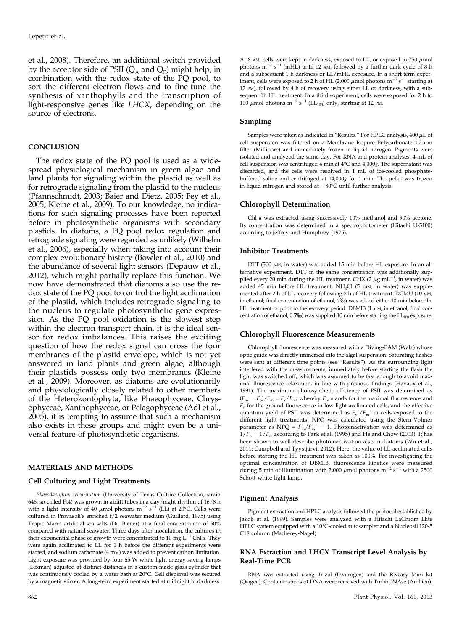et al., 2008). Therefore, an additional switch provided by the acceptor side of PSII  $(Q_A \text{ and } Q_B)$  might help, in combination with the redox state of the PQ pool, to sort the different electron flows and to fine-tune the synthesis of xanthophylls and the transcription of light-responsive genes like LHCX, depending on the source of electrons.

## **CONCLUSION**

The redox state of the PQ pool is used as a widespread physiological mechanism in green algae and land plants for signaling within the plastid as well as for retrograde signaling from the plastid to the nucleus (Pfannschmidt, 2003; Baier and Dietz, 2005; Fey et al., 2005; Kleine et al., 2009). To our knowledge, no indications for such signaling processes have been reported before in photosynthetic organisms with secondary plastids. In diatoms, a PQ pool redox regulation and retrograde signaling were regarded as unlikely (Wilhelm et al., 2006), especially when taking into account their complex evolutionary history (Bowler et al., 2010) and the abundance of several light sensors (Depauw et al., 2012), which might partially replace this function. We now have demonstrated that diatoms also use the redox state of the PQ pool to control the light acclimation of the plastid, which includes retrograde signaling to the nucleus to regulate photosynthetic gene expression. As the PQ pool oxidation is the slowest step within the electron transport chain, it is the ideal sensor for redox imbalances. This raises the exciting question of how the redox signal can cross the four membranes of the plastid envelope, which is not yet answered in land plants and green algae, although their plastids possess only two membranes (Kleine et al., 2009). Moreover, as diatoms are evolutionarily and physiologically closely related to other members of the Heterokontophyta, like Phaeophyceae, Chrysophyceae, Xanthophyceae, or Pelagophyceae (Adl et al., 2005), it is tempting to assume that such a mechanism also exists in these groups and might even be a universal feature of photosynthetic organisms.

#### MATERIALS AND METHODS

#### Cell Culturing and Light Treatments

Phaeodactylum tricornutum (University of Texas Culture Collection, strain 646, so-called Pt4) was grown in airlift tubes in a day/night rhythm of 16/8 h<br>with a light intensity of 40  $\mu$ mol photons m $^{-2}$  s $^{-1}$  (LL) at 20°C. Cells were cultured in Provasoli's enriched f/2 seawater medium (Guillard, 1975) using Tropic Marin artificial sea salts (Dr. Biener) at a final concentration of 50% compared with natural seawater. Three days after inoculation, the cultures in their exponential phase of growth were concentrated to 10 mg  $L^{-1}$  Chl a. They were again acclimated to LL for 1 h before the different experiments were started, and sodium carbonate (4 mM) was added to prevent carbon limitation. Light exposure was provided by four 65-W white light energy-saving lamps (Lexman) adjusted at distinct distances in a custom-made glass cylinder that was continuously cooled by a water bath at 20°C. Cell dispersal was secured by a magnetic stirrer. A long-term experiment started at midnight in darkness.

At 8 AM, cells were kept in darkness, exposed to LL, or exposed to 750  $\mu \mathrm{mol}$ photons  $m^{-2}$  s<sup>-1</sup> (mHL) until 12 AM, followed by a further dark cycle of 8 h and a subsequent 1 h darkness or LL/mHL exposure. In a short-term experiment, cells were exposed to 2 h of HL (2,000  $\mu$ mol photons m $^{-2}$  s $^{-1}$  starting at 12 PM), followed by 4 h of recovery using either LL or darkness, with a subsequent 1h HL treatment. In a third experiment, cells were exposed for 2 h to 100  $\mu$ mol photons m<sup>-2</sup> s<sup>-1</sup> (LL<sub>100</sub>) only, starting at 12 PM.

## Sampling

Samples were taken as indicated in "Results." For HPLC analysis,  $400 \mu L$  of cell suspension was filtered on a Membrane Isopore Polycarbonate  $1.2$ - $\mu$ m filter (Millipore) and immediately frozen in liquid nitrogen. Pigments were isolated and analyzed the same day. For RNA and protein analyses, 4 mL of cell suspension was centrifuged 4 min at 4°C and 4,000g. The supernatant was discarded, and the cells were resolved in 1 mL of ice-cooled phosphatebuffered saline and centrifuged at 14,000g for 1 min. The pellet was frozen in liquid nitrogen and stored at  $-80^{\circ}$ C until further analysis.

#### Chlorophyll Determination

Chl a was extracted using successively 10% methanol and 90% acetone. Its concentration was determined in a spectrophotometer (Hitachi U-5100) according to Jeffrey and Humphrey (1975).

#### Inhibitor Treatments

DTT (500  $\mu$ M, in water) was added 15 min before HL exposure. In an alternative experiment, DTT in the same concentration was additionally supplied every 20 min during the HL treatment. CHX (2  $\mu$ g mL<sup>-1</sup>, in water) was added 45 min before HL treatment. NH<sub>4</sub>Cl (5 mm, in water) was supplemented after 2 h of LL recovery following 2 h of HL treatment. DCMU (10  $\mu$ M, in ethanol; final concentration of ethanol, 2‰) was added either 10 min before the HL treatment or prior to the recovery period. DBMIB (1  $\mu$ M, in ethanol; final concentration of ethanol,  $0.5\%$ ) was supplied 10 min before starting the  $LL_{100}$  exposure.

#### Chlorophyll Fluorescence Measurements

Chlorophyll fluorescence was measured with a Diving-PAM (Walz) whose optic guide was directly immersed into the algal suspension. Saturating flashes were sent at different time points (see "Results"). As the surrounding light interfered with the measurements, immediately before starting the flash the light was switched off, which was assumed to be fast enough to avoid maximal fluorescence relaxation, in line with previous findings (Havaux et al., 1991). The maximum photosynthetic efficiency of PSII was determined as  $(F_m - F_o)/F_m = F_v/F_m$ , whereby  $F_m$  stands for the maximal fluorescence and  $F<sub>o</sub>$  for the ground fluorescence in low light acclimated cells, and the effective quantum yield of PSII was determined as  $F_v'/F_m'$  in cells exposed to the different light treatments. NPQ was calculated using the Stern-Volmer parameter as NPQ =  $F_m/F_m'$  – 1. Photoinactivation was determined as  $1/F_{o}$  –  $1/F_{m}$  according to Park et al. (1995) and He and Chow (2003). It has been shown to well describe photoinactivation also in diatoms (Wu et al., 2011; Campbell and Tyystjärvi, 2012). Here, the value of LL-acclimated cells before starting the HL treatment was taken as 100%. For investigating the optimal concentration of DBMIB, fluorescence kinetics were measured during 5 min of illumination with 2,000  $\mu$ mol photons m<sup>-2</sup> s<sup>-1</sup> with a 2500 Schott white light lamp.

#### Pigment Analysis

Pigment extraction and HPLC analysis followed the protocol established by Jakob et al. (1999). Samples were analyzed with a Hitachi LaChrom Elite HPLC system equipped with a 10°C-cooled autosampler and a Nucleosil 120-5 C18 column (Macherey-Nagel).

#### RNA Extraction and LHCX Transcript Level Analysis by Real-Time PCR

RNA was extracted using Trizol (Invitrogen) and the RNeasy Mini kit (Qiagen). Contaminations of DNA were removed with TurboDNAse (Ambion).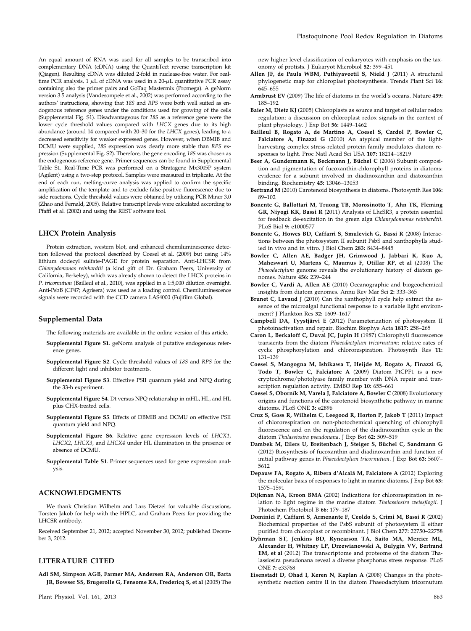An equal amount of RNA was used for all samples to be transcribed into complementary DNA (cDNA) using the QuantiTect reverse transcription kit (Qiagen). Resulting cDNA was diluted 2-fold in nuclease-free water. For realtime PCR analysis, 1  $\mu$ L of cDNA was used in a 20- $\mu$ L quantitative PCR assay containing also the primer pairs and GoTaq Mastermix (Promega). A geNorm version 3.5 analysis (Vandesompele et al., 2002) was performed according to the authors' instructions, showing that 18S and RPS were both well suited as endogenous reference genes under the conditions used for growing of the cells [\(Supplemental Fig. S1](http://www.plantphysiol.org/cgi/content/full/pp.112.207811/DC1)). Disadvantageous for 18S as a reference gene were the lower cycle threshold values compared with LHCX genes due to its high abundance (around 14 compared with 20–30 for the LHCX genes), leading to a decreased sensitivity for weaker expressed genes. However, when DBMIB and DCMU were supplied, 18S expression was clearly more stable than RPS expression ([Supplemental Fig. S2](http://www.plantphysiol.org/cgi/content/full/pp.112.207811/DC1)). Therefore, the gene encoding 18S was chosen as the endogenous reference gene. Primer sequences can be found in [Supplemental](http://www.plantphysiol.org/cgi/content/full/pp.112.207811/DC1) [Table S1.](http://www.plantphysiol.org/cgi/content/full/pp.112.207811/DC1) Real-Time PCR was performed on a Stratagene Mx3005P system (Agilent) using a two-step protocol. Samples were measured in triplicate. At the end of each run, melting-curve analysis was applied to confirm the specific amplification of the template and to exclude false-positive fluorescence due to side reactions. Cycle threshold values were obtained by utilizing PCR Miner 3.0 (Zhao and Fernald, 2005). Relative transcript levels were calculated according to Pfaffl et al. (2002) and using the REST software tool.

## LHCX Protein Analysis

Protein extraction, western blot, and enhanced chemiluminescence detection followed the protocol described by Coesel et al. (2009) but using 14% lithium dodecyl sulfate-PAGE for protein separation. Anti-LHCSR from Chlamydomonas reinhardtii (a kind gift of Dr. Graham Peers, University of California, Berkeley), which was already shown to detect the LHCX proteins in P. tricornutum (Bailleul et al., 2010), was applied in a 1:5,000 dilution overnight. Anti-PsbB (CP47; Agrisera) was used as a loading control. Chemiluminescence signals were recorded with the CCD camera LAS4000 (Fujifilm Global).

## Supplemental Data

The following materials are available in the online version of this article.

- [Supplemental Figure S1](http://www.plantphysiol.org/cgi/content/full/pp.112.207811/DC1). geNorm analysis of putative endogenous reference genes.
- [Supplemental Figure S2](http://www.plantphysiol.org/cgi/content/full/pp.112.207811/DC1). Cycle threshold values of 18S and RPS for the different light and inhibitor treatments.
- [Supplemental Figure S3](http://www.plantphysiol.org/cgi/content/full/pp.112.207811/DC1). Effective PSII quantum yield and NPQ during the 33-h experiment.
- [Supplemental Figure S4](http://www.plantphysiol.org/cgi/content/full/pp.112.207811/DC1). Dt versus NPQ relationship in mHL, HL, and HL plus CHX-treated cells.
- [Supplemental Figure S5](http://www.plantphysiol.org/cgi/content/full/pp.112.207811/DC1). Effects of DBMIB and DCMU on effective PSII quantum yield and NPQ.
- [Supplemental Figure S6](http://www.plantphysiol.org/cgi/content/full/pp.112.207811/DC1). Relative gene expression levels of LHCX1, LHCX2, LHCX3, and LHCX4 under HL illumination in the presence or absence of DCMU.
- [Supplemental Table S1](http://www.plantphysiol.org/cgi/content/full/pp.112.207811/DC1). Primer sequences used for gene expression analysis.

## ACKNOWLEDGMENTS

We thank Christian Wilhelm and Lars Dietzel for valuable discussions, Torsten Jakob for help with the HPLC, and Graham Peers for providing the LHCSR antibody.

Received September 21, 2012; accepted November 30, 2012; published December 3, 2012.

## LITERATURE CITED

Adl SM, Simpson AGB, Farmer MA, Andersen RA, Anderson OR, Barta JR, Bowser SS, Brugerolle G, Fensome RA, Fredericq S, et al (2005) The new higher level classification of eukaryotes with emphasis on the taxonomy of protists. J Eukaryot Microbiol 52: 399–451

- Allen JF, de Paula WBM, Puthiyaveetil S, Nield J (2011) A structural phylogenetic map for chloroplast photosynthesis. Trends Plant Sci 16: 645–655
- Armbrust EV (2009) The life of diatoms in the world's oceans. Nature 459: 185–192
- Baier M, Dietz KJ (2005) Chloroplasts as source and target of cellular redox regulation: a discussion on chloroplast redox signals in the context of plant physiology. J Exp Bot 56: 1449–1462
- Bailleul B, Rogato A, de Martino A, Coesel S, Cardol P, Bowler C, Falciatore A, Finazzi G (2010) An atypical member of the lightharvesting complex stress-related protein family modulates diatom responses to light. Proc Natl Acad Sci USA 107: 18214–18219
- Beer A, Gundermann K, Beckmann J, Büchel C (2006) Subunit composition and pigmentation of fucoxanthin-chlorophyll proteins in diatoms: evidence for a subunit involved in diadinoxanthin and diatoxanthin binding. Biochemistry 45: 13046–13053
- Bertrand M (2010) Carotenoid biosynthesis in diatoms. Photosynth Res 106: 89–102
- Bonente G, Ballottari M, Truong TB, Morosinotto T, Ahn TK, Fleming GR, Niyogi KK, Bassi R (2011) Analysis of LhcSR3, a protein essential for feedback de-excitation in the green alga Chlamydomonas reinhardtii. PLoS Biol 9: e1000577
- Bonente G, Howes BD, Caffarri S, Smulevich G, Bassi R (2008) Interactions between the photosystem II subunit PsbS and xanthophylls studied in vivo and in vitro. J Biol Chem 283: 8434–8445
- Bowler C, Allen AE, Badger JH, Grimwood J, Jabbari K, Kuo A, Maheswari U, Martens C, Maumus F, Otillar RP, et al (2008) The Phaeodactylum genome reveals the evolutionary history of diatom genomes. Nature 456: 239–244
- Bowler C, Vardi A, Allen AE (2010) Oceanographic and biogeochemical insights from diatom genomes. Annu Rev Mar Sci 2: 333–365
- Brunet C, Lavaud J (2010) Can the xanthophyll cycle help extract the essence of the microalgal functional response to a variable light environment? J Plankton Res 32: 1609–1617
- Campbell DA, Tyystjärvi E (2012) Parameterization of photosystem II photoinactivation and repair. Biochim Biophys Acta 1817: 258–265
- Caron L, Berkaloff C, Duval JC, Jupin H (1987) Chlorophyll fluorescence transients from the diatom Phaeodactylum tricornutum: relative rates of cyclic phosphorylation and chlororespiration. Photosynth Res 11: 131–139
- Coesel S, Mangogna M, Ishikawa T, Heijde M, Rogato A, Finazzi G, Todo T, Bowler C, Falciatore A (2009) Diatom PtCPF1 is a new cryptochrome/photolyase family member with DNA repair and transcription regulation activity. EMBO Rep 10: 655–661
- Coesel S, Oborník M, Varela J, Falciatore A, Bowler C (2008) Evolutionary origins and functions of the carotenoid biosynthetic pathway in marine diatoms. PLoS ONE 3: e2896
- Cruz S, Goss R, Wilhelm C, Leegood R, Horton P, Jakob T (2011) Impact of chlororespiration on non-photochemical quenching of chlorophyll fluorescence and on the regulation of the diadinoxanthin cycle in the diatom Thalassiosira pseudonana. J Exp Bot 62: 509–519
- Dambek M, Eilers U, Breitenbach J, Steiger S, Büchel C, Sandmann G (2012) Biosynthesis of fucoxanthin and diadinoxanthin and function of initial pathway genes in Phaeodactylum tricornutum. J Exp Bot 63: 5607– 5612
- Depauw FA, Rogato A, Ribera d'Alcalá M, Falciatore A (2012) Exploring the molecular basis of responses to light in marine diatoms. J Exp Bot 63: 1575–1591
- Dijkman NA, Kroon BMA (2002) Indications for chlororespiration in relation to light regime in the marine diatom Thalassiosira weissflogii. J Photochem Photobiol B 66: 179–187
- Dominici P, Caffarri S, Armenante F, Ceoldo S, Crimi M, Bassi R (2002) Biochemical properties of the PsbS subunit of photosystem II either purified from chloroplast or recombinant. J Biol Chem 277: 22750–22758
- Dyhrman ST, Jenkins BD, Rynearson TA, Saito MA, Mercier ML, Alexander H, Whitney LP, Drzewianowski A, Bulygin VV, Bertrand EM, et al (2012) The transcriptome and proteome of the diatom Thalassiosira pseudonana reveal a diverse phosphorus stress response. PLoS ONE 7: e33768
- Eisenstadt D, Ohad I, Keren N, Kaplan A (2008) Changes in the photosynthetic reaction centre II in the diatom Phaeodactylum tricornutum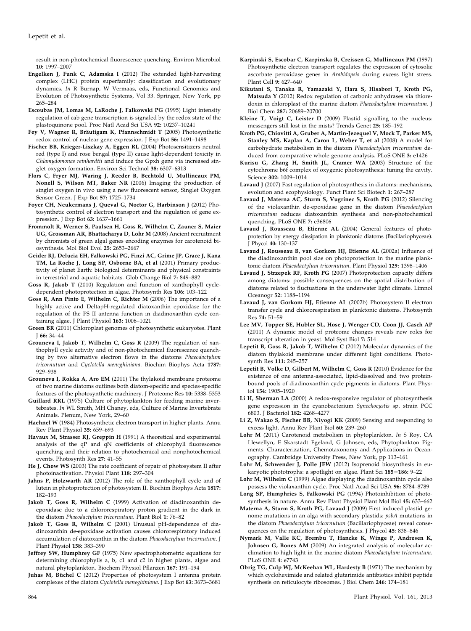Lepetit et al.

result in non-photochemical fluorescence quenching. Environ Microbiol 10: 1997–2007

- Engelken J, Funk C, Adamska I (2012) The extended light-harvesting complex (LHC) protein superfamily: classification and evolutionary dynamics. In R Burnap, W Vermaas, eds, Functional Genomics and Evolution of Photosynthetic Systems, Vol 33. Springer, New York, pp 265–284
- Escoubas JM, Lomas M, LaRoche J, Falkowski PG (1995) Light intensity regulation of cab gene transcription is signaled by the redox state of the plastoquinone pool. Proc Natl Acad Sci USA 92: 10237–10241
- Fey V, Wagner R, Bräutigam K, Pfannschmidt T (2005) Photosynthetic redox control of nuclear gene expression. J Exp Bot 56: 1491–1498
- Fischer BB, Krieger-Liszkay A, Eggen RL (2004) Photosensitizers neutral red (type I) and rose bengal (type II) cause light-dependent toxicity in Chlamydomonas reinhardtii and induce the Gpxh gene via increased singlet oxygen formation. Environ Sci Technol 38: 6307–6313
- Flors C, Fryer MJ, Waring J, Reeder B, Bechtold U, Mullineaux PM, Nonell S, Wilson MT, Baker NR (2006) Imaging the production of singlet oxygen in vivo using a new fluorescent sensor, Singlet Oxygen Sensor Green. J Exp Bot 57: 1725–1734
- Foyer CH, Neukermans J, Queval G, Noctor G, Harbinson J (2012) Photosynthetic control of electron transport and the regulation of gene expression. J Exp Bot 63: 1637–1661
- Frommolt R, Werner S, Paulsen H, Goss R, Wilhelm C, Zauner S, Maier UG, Grossman AR, Bhattacharya D, Lohr M (2008) Ancient recruitment by chromists of green algal genes encoding enzymes for carotenoid biosynthesis. Mol Biol Evol 25: 2653–2667
- Geider RJ, Delucia EH, Falkowski PG, Finzi AC, Grime JP, Grace J, Kana TM, La Roche J, Long SP, Osborne BA, et al (2001) Primary productivity of planet Earth: biological determinants and physical constraints in terrestrial and aquatic habitats. Glob Change Biol 7: 849–882
- Goss R, Jakob T (2010) Regulation and function of xanthophyll cycledependent photoprotection in algae. Photosynth Res 106: 103–122
- Goss R, Ann Pinto E, Wilhelm C, Richter M (2006) The importance of a highly active and DeltapH-regulated diatoxanthin epoxidase for the regulation of the PS II antenna function in diadinoxanthin cycle containing algae. J Plant Physiol 163: 1008–1021
- Green BR (2011) Chloroplast genomes of photosynthetic eukaryotes. Plant J 66: 34–44
- Grouneva I, Jakob T, Wilhelm C, Goss R (2009) The regulation of xanthophyll cycle activity and of non-photochemical fluorescence quenching by two alternative electron flows in the diatoms Phaeodactylum tricornutum and Cyclotella meneghiniana. Biochim Biophys Acta 1787: 929–938
- Grouneva I, Rokka A, Aro EM (2011) The thylakoid membrane proteome of two marine diatoms outlines both diatom-specific and species-specific features of the photosynthetic machinery. J Proteome Res 10: 5338–5353
- Guillard RRL (1975) Culture of phytoplankton for feeding marine invertebrates. In WL Smith, MH Chaney, eds, Culture of Marine Invertebrate Animals. Plenum, New York, 29–60
- Haehnel W (1984) Photosynthetic electron transport in higher plants. Annu Rev Plant Physiol 35: 659–693
- Havaux M, Strasser RJ, Greppin H (1991) A theoretical and experimental analysis of the qP and qN coefficients of chlorophyll fluorescence quenching and their relation to photochemical and nonphotochemical events. Photosynth Res 27: 41–55
- He J, Chow WS (2003) The rate coefficient of repair of photosystem II after photoinactivation. Physiol Plant 118: 297–304
- Jahns P, Holzwarth AR (2012) The role of the xanthophyll cycle and of lutein in photoprotection of photosystem II. Biochim Biophys Acta 1817: 182–193
- Jakob T, Goss R, Wilhelm C (1999) Activation of diadinoxanthin deepoxidase due to a chlororespiratory proton gradient in the dark in the diatom Phaeodactylum tricornutum. Plant Biol 1: 76–82
- Jakob T, Goss R, Wilhelm C (2001) Unusual pH-dependence of diadinoxanthin de-epoxidase activation causes chlororespiratory induced accumulation of diatoxanthin in the diatom Phaeodactylum tricornutum. J Plant Physiol 158: 383–390
- Jeffrey SW, Humphrey GF (1975) New spectrophotometric equations for determining chlorophylls a, b, c1 and c2 in higher plants, algae and natural phytoplankton. Biochem Physiol Pflanzen 167: 191–194
- Juhas M, Büchel C (2012) Properties of photosystem I antenna protein complexes of the diatom Cyclotella meneghiniana. J Exp Bot 63: 3673–3681
- Karpinski S, Escobar C, Karpinska B, Creissen G, Mullineaux PM (1997) Photosynthetic electron transport regulates the expression of cytosolic ascorbate peroxidase genes in Arabidopsis during excess light stress. Plant Cell 9: 627–640
- Kikutani S, Tanaka R, Yamazaki Y, Hara S, Hisabori T, Kroth PG, Matsuda Y (2012) Redox regulation of carbonic anhydrases via thioredoxin in chloroplast of the marine diatom Phaeodactylum tricornutum. J Biol Chem 287: 20689–20700
- Kleine T, Voigt C, Leister D (2009) Plastid signalling to the nucleus: messengers still lost in the mists? Trends Genet 25: 185–192
- Kroth PG, Chiovitti A, Gruber A, Martin-Jezequel V, Mock T, Parker MS, Stanley MS, Kaplan A, Caron L, Weber T, et al (2008) A model for carbohydrate metabolism in the diatom Phaeodactylum tricornutum deduced from comparative whole genome analysis. PLoS ONE 3: e1426
- Kurisu G, Zhang H, Smith JL, Cramer WA (2003) Structure of the cytochrome b6f complex of oxygenic photosynthesis: tuning the cavity. Science 302: 1009–1014
- Lavaud J (2007) Fast regulation of photosynthesis in diatoms: mechanisms, evolution and ecophysiology. Funct Plant Sci Biotech 1: 267–287
- Lavaud J, Materna AC, Sturm S, Vugrinec S, Kroth PG (2012) Silencing of the violaxanthin de-epoxidase gene in the diatom Phaeodactylum tricornutum reduces diatoxanthin synthesis and non-photochemical quenching. PLoS ONE 7: e36806
- Lavaud J, Rousseau B, Etienne AL (2004) General features of photoprotection by energy dissipation in planktonic diatoms (Bacillariophyceae). J Phycol 40: 130–137
- Lavaud J, Rousseau B, van Gorkom HJ, Etienne AL (2002a) Influence of the diadinoxanthin pool size on photoprotection in the marine planktonic diatom Phaeodactylum tricornutum. Plant Physiol 129: 1398–1406
- Lavaud J, Strzepek RF, Kroth PG (2007) Photoprotection capacity differs among diatoms: possible consequences on the spatial distribution of diatoms related to fluctuations in the underwater light climate. Limnol Oceanogr 52: 1188–1194
- Lavaud J, van Gorkom HJ, Etienne AL (2002b) Photosystem II electron transfer cycle and chlororespiration in planktonic diatoms. Photosynth Res 74: 51–59
- Lee MV, Topper SE, Hubler SL, Hose J, Wenger CD, Coon JJ, Gasch AP (2011) A dynamic model of proteome changes reveals new roles for transcript alteration in yeast. Mol Syst Biol 7: 514
- Lepetit B, Goss R, Jakob T, Wilhelm C (2012) Molecular dynamics of the diatom thylakoid membrane under different light conditions. Photosynth Res 111: 245–257
- Lepetit B, Volke D, Gilbert M, Wilhelm C, Goss R (2010) Evidence for the existence of one antenna-associated, lipid-dissolved and two proteinbound pools of diadinoxanthin cycle pigments in diatoms. Plant Physiol 154: 1905–1920
- Li H, Sherman LA (2000) A redox-responsive regulator of photosynthesis gene expression in the cyanobacterium Synechocystis sp. strain PCC 6803. J Bacteriol 182: 4268–4277
- Li Z, Wakao S, Fischer BB, Niyogi KK (2009) Sensing and responding to excess light. Annu Rev Plant Biol 60: 239–260
- Lohr M (2011) Carotenoid metabolism in phytoplankton. In S Roy, CA Llewellyn, E Skarstadt Egeland, G Johnsen, eds, Phytoplankton Pigments: Characterization, Chemotaxonomy and Applications in Oceanography. Cambridge University Press, New York, pp 113–161
- Lohr M, Schwender J, Polle JEW (2012) Isoprenoid biosynthesis in eukaryotic phototrophs: a spotlight on algae. Plant Sci 185-186: 9-22
- Lohr M, Wilhelm C (1999) Algae displaying the diadinoxanthin cycle also possess the violaxanthin cycle. Proc Natl Acad Sci USA 96: 8784–8789
- Long SP, Humphries S, Falkowski PG (1994) Photoinhibition of photosynthesis in nature. Annu Rev Plant Physiol Plant Mol Biol 45: 633–662
- Materna A, Sturm S, Kroth PG, Lavaud J (2009) First induced plastid genome mutations in an alga with secondary plastids: psbA mutations in the diatom Phaeodactylum tricornutum (Bacillariophyceae) reveal consequences on the regulation of photosynthesis. J Phycol 45: 838–846
- Nymark M, Valle KC, Brembu T, Hancke K, Winge P, Andresen K, Johnsen G, Bones AM (2009) An integrated analysis of molecular acclimation to high light in the marine diatom Phaeodactylum tricornutum. PLoS ONE 4: e7743
- Obrig TG, Culp WJ, McKeehan WL, Hardesty B (1971) The mechanism by which cycloheximide and related glutarimide antibiotics inhibit peptide synthesis on reticulocyte ribosomes. J Biol Chem 246: 174–181